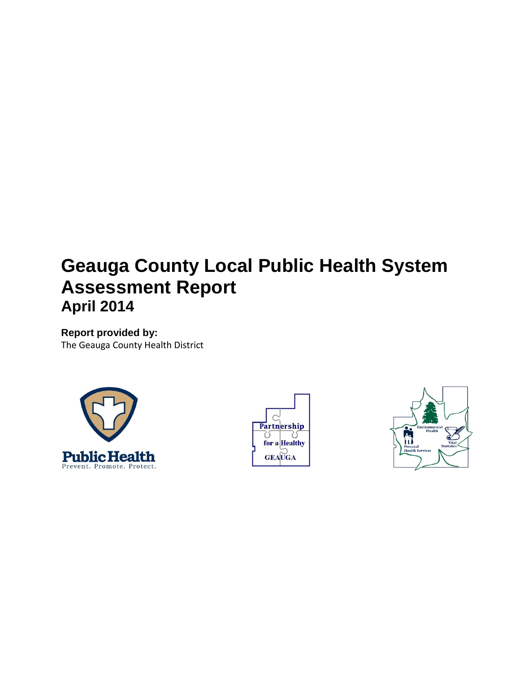# **Geauga County Local Public Health System Assessment Report April 2014**

**Report provided by:** The Geauga County Health District





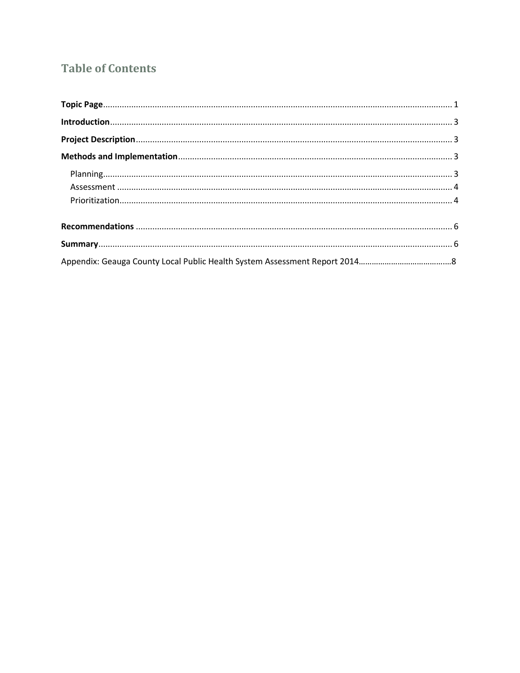# **Table of Contents**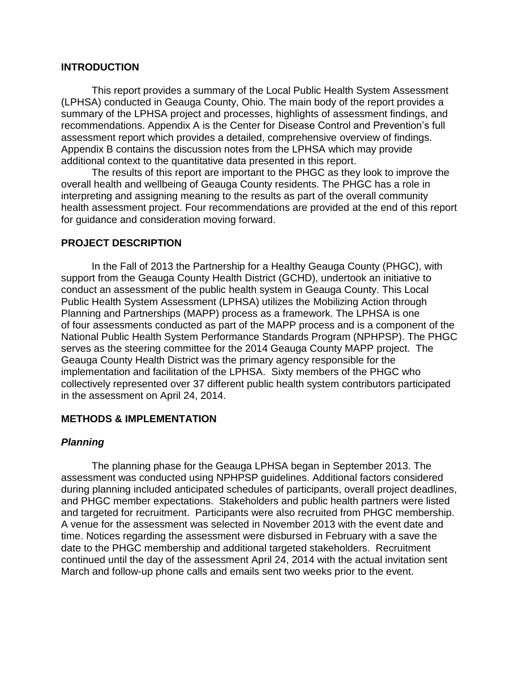#### **INTRODUCTION**

This report provides a summary of the Local Public Health System Assessment (LPHSA) conducted in Geauga County, Ohio. The main body of the report provides a summary of the LPHSA project and processes, highlights of assessment findings, and recommendations. Appendix A is the Center for Disease Control and Prevention's full assessment report which provides a detailed, comprehensive overview of findings. Appendix B contains the discussion notes from the LPHSA which may provide additional context to the quantitative data presented in this report.

The results of this report are important to the PHGC as they look to improve the overall health and wellbeing of Geauga County residents. The PHGC has a role in interpreting and assigning meaning to the results as part of the overall community health assessment project. Four recommendations are provided at the end of this report for guidance and consideration moving forward.

#### **PROJECT DESCRIPTION**

In the Fall of 2013 the Partnership for a Healthy Geauga County (PHGC), with support from the Geauga County Health District (GCHD), undertook an initiative to conduct an assessment of the public health system in Geauga County. This Local Public Health System Assessment (LPHSA) utilizes the Mobilizing Action through Planning and Partnerships (MAPP) process as a framework. The LPHSA is one of four assessments conducted as part of the MAPP process and is a component of the National Public Health System Performance Standards Program (NPHPSP). The PHGC serves as the steering committee for the 2014 Geauga County MAPP project. The Geauga County Health District was the primary agency responsible for the implementation and facilitation of the LPHSA. Sixty members of the PHGC who collectively represented over 37 different public health system contributors participated in the assessment on April 24, 2014.

#### **METHODS & IMPLEMENTATION**

#### *Planning*

The planning phase for the Geauga LPHSA began in September 2013. The assessment was conducted using NPHPSP guidelines. Additional factors considered during planning included anticipated schedules of participants, overall project deadlines, and PHGC member expectations. Stakeholders and public health partners were listed and targeted for recruitment. Participants were also recruited from PHGC membership. A venue for the assessment was selected in November 2013 with the event date and time. Notices regarding the assessment were disbursed in February with a save the date to the PHGC membership and additional targeted stakeholders. Recruitment continued until the day of the assessment April 24, 2014 with the actual invitation sent March and follow-up phone calls and emails sent two weeks prior to the event.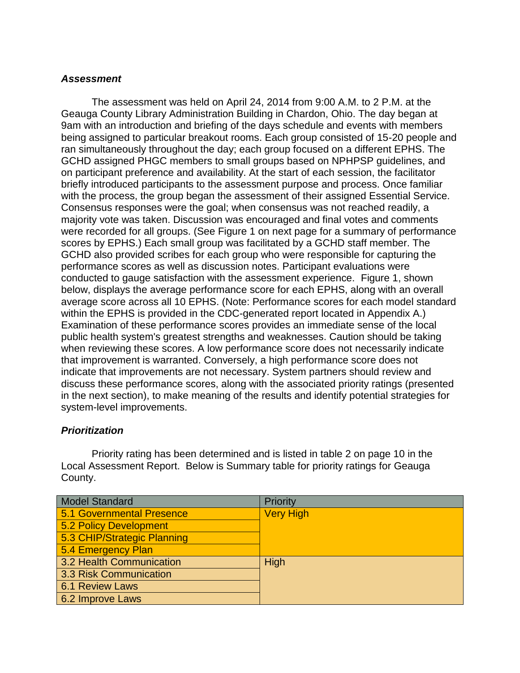# *Assessment*

The assessment was held on April 24, 2014 from 9:00 A.M. to 2 P.M. at the Geauga County Library Administration Building in Chardon, Ohio. The day began at 9am with an introduction and briefing of the days schedule and events with members being assigned to particular breakout rooms. Each group consisted of 15-20 people and ran simultaneously throughout the day; each group focused on a different EPHS. The GCHD assigned PHGC members to small groups based on NPHPSP guidelines, and on participant preference and availability. At the start of each session, the facilitator briefly introduced participants to the assessment purpose and process. Once familiar with the process, the group began the assessment of their assigned Essential Service. Consensus responses were the goal; when consensus was not reached readily, a majority vote was taken. Discussion was encouraged and final votes and comments were recorded for all groups. (See Figure 1 on next page for a summary of performance scores by EPHS.) Each small group was facilitated by a GCHD staff member. The GCHD also provided scribes for each group who were responsible for capturing the performance scores as well as discussion notes. Participant evaluations were conducted to gauge satisfaction with the assessment experience. Figure 1, shown below, displays the average performance score for each EPHS, along with an overall average score across all 10 EPHS. (Note: Performance scores for each model standard within the EPHS is provided in the CDC-generated report located in Appendix A.) Examination of these performance scores provides an immediate sense of the local public health system's greatest strengths and weaknesses. Caution should be taking when reviewing these scores. A low performance score does not necessarily indicate that improvement is warranted. Conversely, a high performance score does not indicate that improvements are not necessary. System partners should review and discuss these performance scores, along with the associated priority ratings (presented in the next section), to make meaning of the results and identify potential strategies for system-level improvements.

# *Prioritization*

Priority rating has been determined and is listed in table 2 on page 10 in the Local Assessment Report. Below is Summary table for priority ratings for Geauga County.

| Model Standard              | Priority         |
|-----------------------------|------------------|
| 5.1 Governmental Presence   | <b>Very High</b> |
| 5.2 Policy Development      |                  |
| 5.3 CHIP/Strategic Planning |                  |
| 5.4 Emergency Plan          |                  |
| 3.2 Health Communication    | High             |
| 3.3 Risk Communication      |                  |
| 6.1 Review Laws             |                  |
| 6.2 Improve Laws            |                  |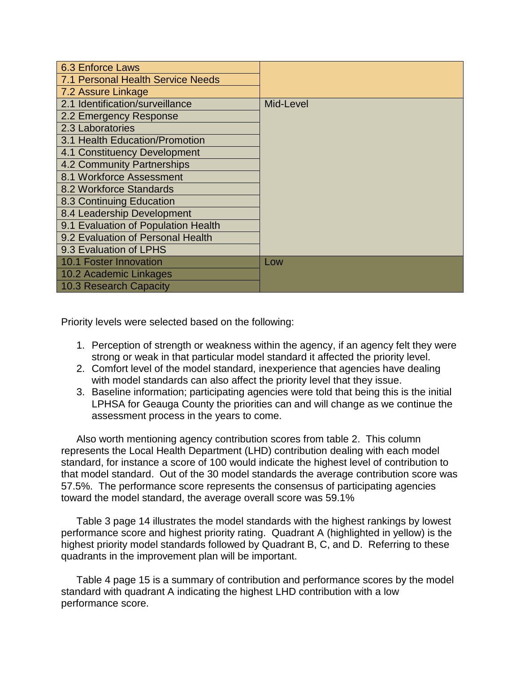| 6.3 Enforce Laws                         |           |
|------------------------------------------|-----------|
| <b>7.1 Personal Health Service Needs</b> |           |
| 7.2 Assure Linkage                       |           |
| 2.1 Identification/surveillance          | Mid-Level |
| 2.2 Emergency Response                   |           |
| 2.3 Laboratories                         |           |
| 3.1 Health Education/Promotion           |           |
| 4.1 Constituency Development             |           |
| 4.2 Community Partnerships               |           |
| 8.1 Workforce Assessment                 |           |
| 8.2 Workforce Standards                  |           |
| 8.3 Continuing Education                 |           |
| 8.4 Leadership Development               |           |
| 9.1 Evaluation of Population Health      |           |
| 9.2 Evaluation of Personal Health        |           |
| 9.3 Evaluation of LPHS                   |           |
| <b>10.1 Foster Innovation</b>            | Low       |
| 10.2 Academic Linkages                   |           |
| 10.3 Research Capacity                   |           |

Priority levels were selected based on the following:

- 1. Perception of strength or weakness within the agency, if an agency felt they were strong or weak in that particular model standard it affected the priority level.
- 2. Comfort level of the model standard, inexperience that agencies have dealing with model standards can also affect the priority level that they issue.
- 3. Baseline information; participating agencies were told that being this is the initial LPHSA for Geauga County the priorities can and will change as we continue the assessment process in the years to come.

Also worth mentioning agency contribution scores from table 2. This column represents the Local Health Department (LHD) contribution dealing with each model standard, for instance a score of 100 would indicate the highest level of contribution to that model standard. Out of the 30 model standards the average contribution score was 57.5%. The performance score represents the consensus of participating agencies toward the model standard, the average overall score was 59.1%

Table 3 page 14 illustrates the model standards with the highest rankings by lowest performance score and highest priority rating. Quadrant A (highlighted in yellow) is the highest priority model standards followed by Quadrant B, C, and D. Referring to these quadrants in the improvement plan will be important.

Table 4 page 15 is a summary of contribution and performance scores by the model standard with quadrant A indicating the highest LHD contribution with a low performance score.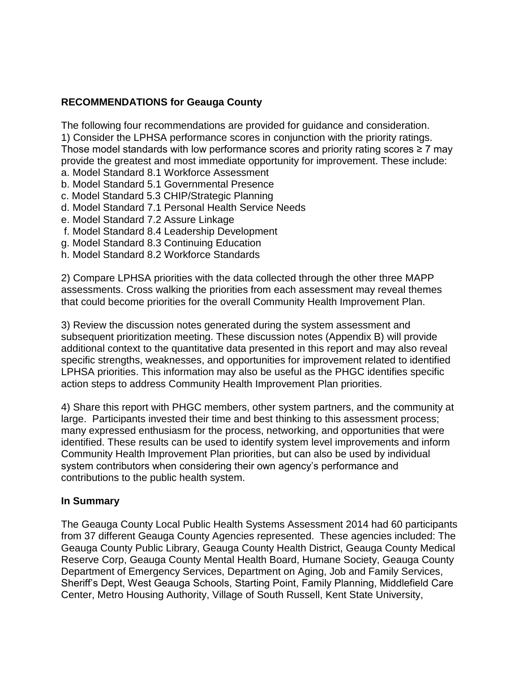# **RECOMMENDATIONS for Geauga County**

The following four recommendations are provided for guidance and consideration. 1) Consider the LPHSA performance scores in conjunction with the priority ratings. Those model standards with low performance scores and priority rating scores  $\geq 7$  may provide the greatest and most immediate opportunity for improvement. These include:

- a. Model Standard 8.1 Workforce Assessment
- b. Model Standard 5.1 Governmental Presence
- c. Model Standard 5.3 CHIP/Strategic Planning
- d. Model Standard 7.1 Personal Health Service Needs
- e. Model Standard 7.2 Assure Linkage
- f. Model Standard 8.4 Leadership Development
- g. Model Standard 8.3 Continuing Education
- h. Model Standard 8.2 Workforce Standards

2) Compare LPHSA priorities with the data collected through the other three MAPP assessments. Cross walking the priorities from each assessment may reveal themes that could become priorities for the overall Community Health Improvement Plan.

3) Review the discussion notes generated during the system assessment and subsequent prioritization meeting. These discussion notes (Appendix B) will provide additional context to the quantitative data presented in this report and may also reveal specific strengths, weaknesses, and opportunities for improvement related to identified LPHSA priorities. This information may also be useful as the PHGC identifies specific action steps to address Community Health Improvement Plan priorities.

4) Share this report with PHGC members, other system partners, and the community at large. Participants invested their time and best thinking to this assessment process; many expressed enthusiasm for the process, networking, and opportunities that were identified. These results can be used to identify system level improvements and inform Community Health Improvement Plan priorities, but can also be used by individual system contributors when considering their own agency's performance and contributions to the public health system.

# **In Summary**

The Geauga County Local Public Health Systems Assessment 2014 had 60 participants from 37 different Geauga County Agencies represented. These agencies included: The Geauga County Public Library, Geauga County Health District, Geauga County Medical Reserve Corp, Geauga County Mental Health Board, Humane Society, Geauga County Department of Emergency Services, Department on Aging, Job and Family Services, Sheriff's Dept, West Geauga Schools, Starting Point, Family Planning, Middlefield Care Center, Metro Housing Authority, Village of South Russell, Kent State University,